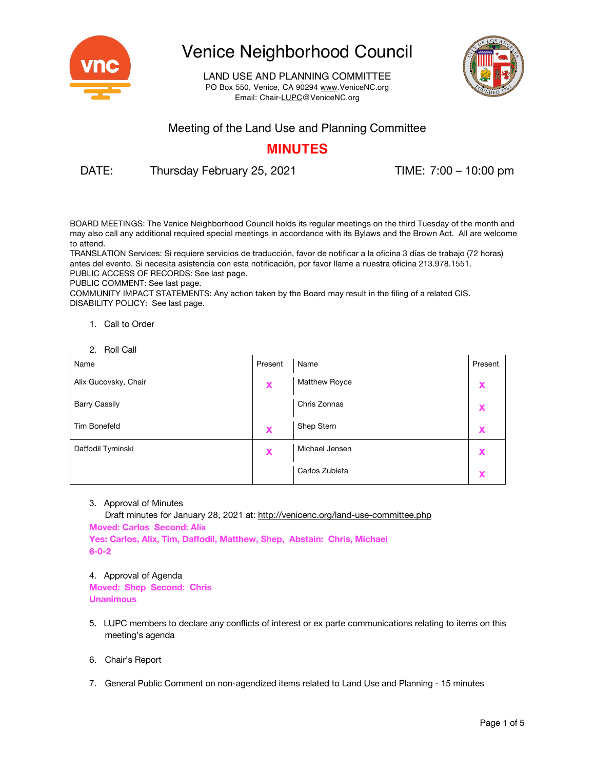

LAND USE AND PLANNING COMMITTEE PO Box 550, Venice, CA 90294 www.VeniceNC.org Email: Chair-LUPC@VeniceNC.org



### Meeting of the Land Use and Planning Committee

## **MINUTES**

DATE: Thursday February 25, 2021 TIME: 7:00 – 10:00 pm

BOARD MEETINGS: The Venice Neighborhood Council holds its regular meetings on the third Tuesday of the month and may also call any additional required special meetings in accordance with its Bylaws and the Brown Act. All are welcome to attend.

TRANSLATION Services: Si requiere servicios de traducción, favor de notificar a la oficina 3 días de trabajo (72 horas) antes del evento. Si necesita asistencia con esta notificación, por favor llame a nuestra oficina 213.978.1551. PUBLIC ACCESS OF RECORDS: See last page.

PUBLIC COMMENT: See last page.

COMMUNITY IMPACT STATEMENTS: Any action taken by the Board may result in the filing of a related CIS. DISABILITY POLICY: See last page.

- 1. Call to Order
- 2. Roll Call

| Name                 | Present | Name                 | Present |
|----------------------|---------|----------------------|---------|
| Alix Gucovsky, Chair | X       | <b>Matthew Royce</b> |         |
| <b>Barry Cassily</b> |         | Chris Zonnas         |         |
| <b>Tim Bonefeld</b>  | X       | Shep Stern           |         |
| Daffodil Tyminski    | X       | Michael Jensen       |         |
|                      |         | Carlos Zubieta       |         |

### 3. Approval of Minutes

Draft minutes for January 28, 2021 at: http://venicenc.org/land-use-committee.php **Moved: Carlos Second: Alix Yes: Carlos, Alix, Tim, Daffodil, Matthew, Shep, Abstain: Chris, Michael 6-0-2**

### 4. Approval of Agenda

**Moved: Shep Second: Chris Unanimous**

- 5. LUPC members to declare any conflicts of interest or ex parte communications relating to items on this meeting's agenda
- 6. Chair's Report
- 7. General Public Comment on non-agendized items related to Land Use and Planning 15 minutes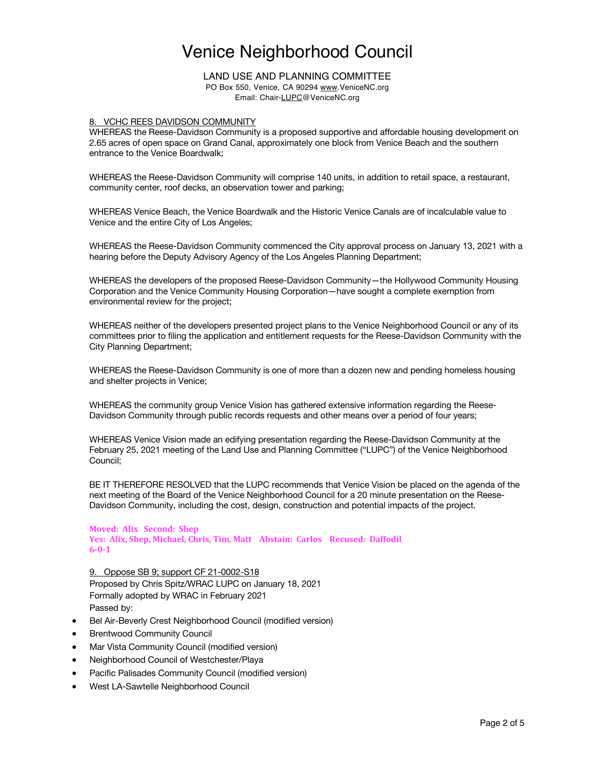LAND USE AND PLANNING COMMITTEE PO Box 550, Venice, CA 90294 www.VeniceNC.org Email: Chair-LUPC@VeniceNC.org

#### 8. VCHC REES DAVIDSON COMMUNITY

WHEREAS the Reese-Davidson Community is a proposed supportive and affordable housing development on 2.65 acres of open space on Grand Canal, approximately one block from Venice Beach and the southern entrance to the Venice Boardwalk;

WHEREAS the Reese-Davidson Community will comprise 140 units, in addition to retail space, a restaurant, community center, roof decks, an observation tower and parking;

WHEREAS Venice Beach, the Venice Boardwalk and the Historic Venice Canals are of incalculable value to Venice and the entire City of Los Angeles;

WHEREAS the Reese-Davidson Community commenced the City approval process on January 13, 2021 with a hearing before the Deputy Advisory Agency of the Los Angeles Planning Department;

WHEREAS the developers of the proposed Reese-Davidson Community—the Hollywood Community Housing Corporation and the Venice Community Housing Corporation—have sought a complete exemption from environmental review for the project;

WHEREAS neither of the developers presented project plans to the Venice Neighborhood Council or any of its committees prior to filing the application and entitlement requests for the Reese-Davidson Community with the City Planning Department;

WHEREAS the Reese-Davidson Community is one of more than a dozen new and pending homeless housing and shelter projects in Venice;

WHEREAS the community group Venice Vision has gathered extensive information regarding the Reese-Davidson Community through public records requests and other means over a period of four years;

WHEREAS Venice Vision made an edifying presentation regarding the Reese-Davidson Community at the February 25, 2021 meeting of the Land Use and Planning Committee ("LUPC") of the Venice Neighborhood Council;

BE IT THEREFORE RESOLVED that the LUPC recommends that Venice Vision be placed on the agenda of the next meeting of the Board of the Venice Neighborhood Council for a 20 minute presentation on the Reese-Davidson Community, including the cost, design, construction and potential impacts of the project.

**Moved: Alix Second: Shep** Yes: Alix, Shep, Michael, Chris, Tim, Matt Abstain: Carlos Recused: Daffodil **6-0-1**

9. Oppose SB 9; support CF 21-0002-S18 Proposed by Chris Spitz/WRAC LUPC on January 18, 2021 Formally adopted by WRAC in February 2021 Passed by:

- Bel Air-Beverly Crest Neighborhood Council (modified version)
- **Brentwood Community Council**
- Mar Vista Community Council (modified version)
- Neighborhood Council of Westchester/Playa
- Pacific Palisades Community Council (modified version)
- West LA-Sawtelle Neighborhood Council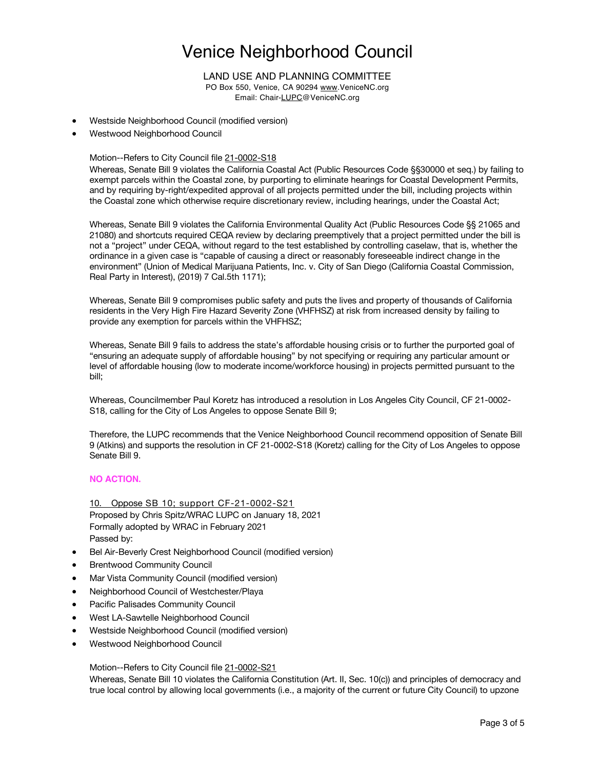### LAND USE AND PLANNING COMMITTEE

PO Box 550, Venice, CA 90294 www.VeniceNC.org Email: Chair-LUPC@VeniceNC.org

- Westside Neighborhood Council (modified version)
- Westwood Neighborhood Council

### Motion--Refers to City Council file 21-0002-S18

Whereas, Senate Bill 9 violates the California Coastal Act (Public Resources Code §§30000 et seq.) by failing to exempt parcels within the Coastal zone, by purporting to eliminate hearings for Coastal Development Permits, and by requiring by-right/expedited approval of all projects permitted under the bill, including projects within the Coastal zone which otherwise require discretionary review, including hearings, under the Coastal Act;

Whereas, Senate Bill 9 violates the California Environmental Quality Act (Public Resources Code §§ 21065 and 21080) and shortcuts required CEQA review by declaring preemptively that a project permitted under the bill is not a "project" under CEQA, without regard to the test established by controlling caselaw, that is, whether the ordinance in a given case is "capable of causing a direct or reasonably foreseeable indirect change in the environment" (Union of Medical Marijuana Patients, Inc. v. City of San Diego (California Coastal Commission, Real Party in Interest), (2019) 7 Cal.5th 1171);

Whereas, Senate Bill 9 compromises public safety and puts the lives and property of thousands of California residents in the Very High Fire Hazard Severity Zone (VHFHSZ) at risk from increased density by failing to provide any exemption for parcels within the VHFHSZ;

Whereas, Senate Bill 9 fails to address the state's affordable housing crisis or to further the purported goal of "ensuring an adequate supply of affordable housing" by not specifying or requiring any particular amount or level of affordable housing (low to moderate income/workforce housing) in projects permitted pursuant to the bill;

Whereas, Councilmember Paul Koretz has introduced a resolution in Los Angeles City Council, CF 21-0002- S18, calling for the City of Los Angeles to oppose Senate Bill 9;

Therefore, the LUPC recommends that the Venice Neighborhood Council recommend opposition of Senate Bill 9 (Atkins) and supports the resolution in CF 21-0002-S18 (Koretz) calling for the City of Los Angeles to oppose Senate Bill 9.

### **NO ACTION.**

10. Oppose SB 10; support CF-21-0002-S21 Proposed by Chris Spitz/WRAC LUPC on January 18, 2021 Formally adopted by WRAC in February 2021 Passed by:

- Bel Air-Beverly Crest Neighborhood Council (modified version)
- **Brentwood Community Council**
- Mar Vista Community Council (modified version)
- Neighborhood Council of Westchester/Playa
- Pacific Palisades Community Council
- West LA-Sawtelle Neighborhood Council
- Westside Neighborhood Council (modified version)
- Westwood Neighborhood Council

Motion--Refers to City Council file 21-0002-S21

Whereas, Senate Bill 10 violates the California Constitution (Art. II, Sec. 10(c)) and principles of democracy and true local control by allowing local governments (i.e., a majority of the current or future City Council) to upzone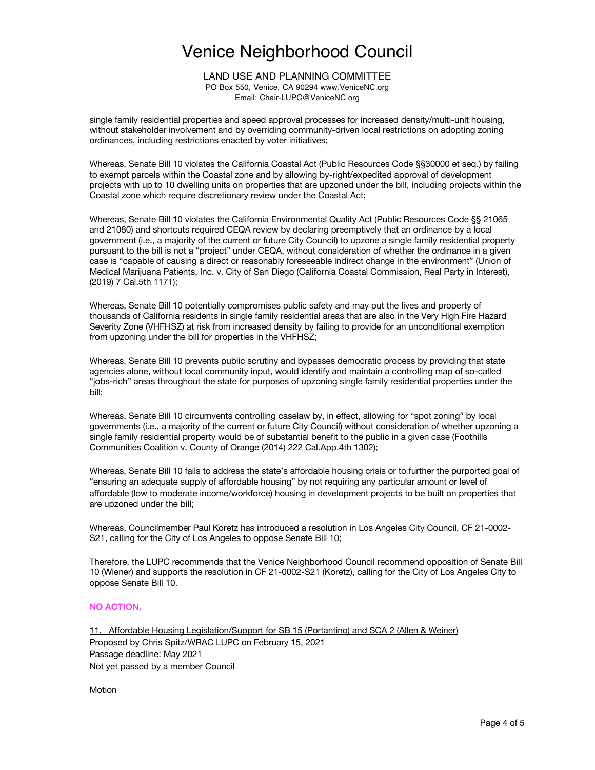LAND USE AND PLANNING COMMITTEE PO Box 550, Venice, CA 90294 www.VeniceNC.org Email: Chair-LUPC@VeniceNC.org

single family residential properties and speed approval processes for increased density/multi-unit housing, without stakeholder involvement and by overriding community-driven local restrictions on adopting zoning ordinances, including restrictions enacted by voter initiatives;

Whereas, Senate Bill 10 violates the California Coastal Act (Public Resources Code §§30000 et seq.) by failing to exempt parcels within the Coastal zone and by allowing by-right/expedited approval of development projects with up to 10 dwelling units on properties that are upzoned under the bill, including projects within the Coastal zone which require discretionary review under the Coastal Act;

Whereas, Senate Bill 10 violates the California Environmental Quality Act (Public Resources Code §§ 21065 and 21080) and shortcuts required CEQA review by declaring preemptively that an ordinance by a local government (i.e., a majority of the current or future City Council) to upzone a single family residential property pursuant to the bill is not a "project" under CEQA, without consideration of whether the ordinance in a given case is "capable of causing a direct or reasonably foreseeable indirect change in the environment" (Union of Medical Marijuana Patients, Inc. v. City of San Diego (California Coastal Commission, Real Party in Interest), (2019) 7 Cal.5th 1171);

Whereas, Senate Bill 10 potentially compromises public safety and may put the lives and property of thousands of California residents in single family residential areas that are also in the Very High Fire Hazard Severity Zone (VHFHSZ) at risk from increased density by failing to provide for an unconditional exemption from upzoning under the bill for properties in the VHFHSZ;

Whereas, Senate Bill 10 prevents public scrutiny and bypasses democratic process by providing that state agencies alone, without local community input, would identify and maintain a controlling map of so-called "jobs-rich" areas throughout the state for purposes of upzoning single family residential properties under the bill;

Whereas, Senate Bill 10 circumvents controlling caselaw by, in effect, allowing for "spot zoning" by local governments (i.e., a majority of the current or future City Council) without consideration of whether upzoning a single family residential property would be of substantial benefit to the public in a given case (Foothills Communities Coalition v. County of Orange (2014) 222 Cal.App.4th 1302);

Whereas, Senate Bill 10 fails to address the state's affordable housing crisis or to further the purported goal of "ensuring an adequate supply of affordable housing" by not requiring any particular amount or level of affordable (low to moderate income/workforce) housing in development projects to be built on properties that are upzoned under the bill;

Whereas, Councilmember Paul Koretz has introduced a resolution in Los Angeles City Council, CF 21-0002- S21, calling for the City of Los Angeles to oppose Senate Bill 10;

Therefore, the LUPC recommends that the Venice Neighborhood Council recommend opposition of Senate Bill 10 (Wiener) and supports the resolution in CF 21-0002-S21 (Koretz), calling for the City of Los Angeles City to oppose Senate Bill 10.

### **NO ACTION.**

11. Affordable Housing Legislation/Support for SB 15 (Portantino) and SCA 2 (Allen & Weiner) Proposed by Chris Spitz/WRAC LUPC on February 15, 2021 Passage deadline: May 2021 Not yet passed by a member Council

Motion